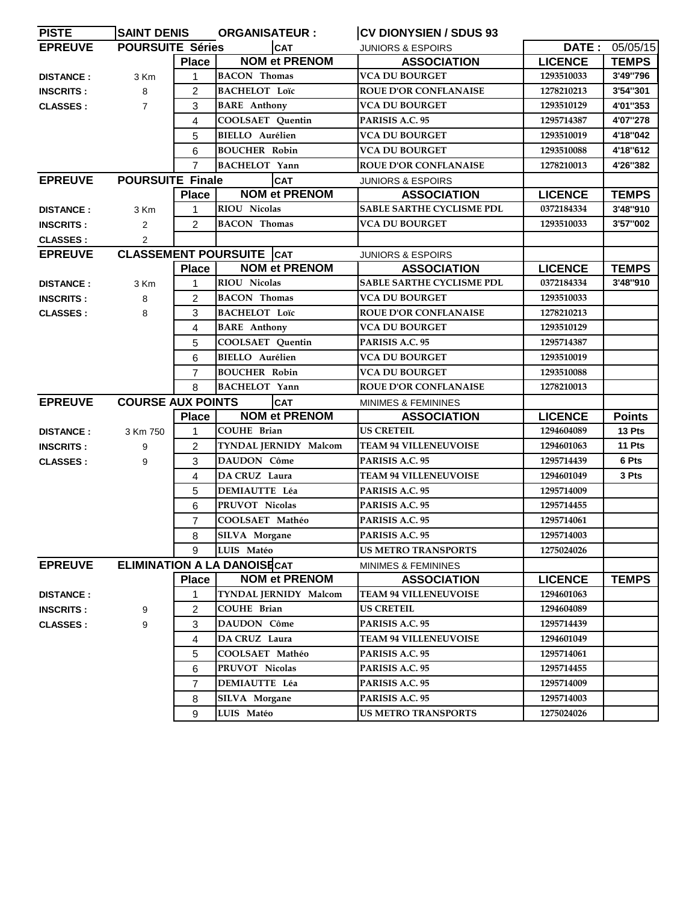| <b>PISTE</b>     | <b>SAINT DENIS</b>       |                | <b>ORGANISATEUR:</b>               | <b>CV DIONYSIEN / SDUS 93</b>    |                |                |
|------------------|--------------------------|----------------|------------------------------------|----------------------------------|----------------|----------------|
| <b>EPREUVE</b>   | <b>POURSUITE Séries</b>  |                | <b>CAT</b>                         | <b>JUNIORS &amp; ESPOIRS</b>     |                | DATE: 05/05/15 |
|                  |                          | <b>Place</b>   | <b>NOM et PRENOM</b>               | <b>ASSOCIATION</b>               | <b>LICENCE</b> | <b>TEMPS</b>   |
| <b>DISTANCE:</b> | 3 Km                     |                | <b>BACON</b> Thomas                | <b>VCA DU BOURGET</b>            | 1293510033     | 3'49"796       |
| <b>INSCRITS:</b> | 8                        | 2              | <b>BACHELOT Loïc</b>               | <b>ROUE D'OR CONFLANAISE</b>     | 1278210213     | 3'54"301       |
| <b>CLASSES:</b>  | $\overline{7}$           | 3              | <b>BARE</b> Anthony                | <b>VCA DU BOURGET</b>            | 1293510129     | 4'01"353       |
|                  |                          | 4              | <b>COOLSAET</b> Quentin            | PARISIS A.C. 95                  | 1295714387     | 4'07"278       |
|                  |                          | 5              | <b>BIELLO</b> Aurélien             | VCA DU BOURGET                   | 1293510019     | 4'18"042       |
|                  |                          | 6              | <b>BOUCHER Robin</b>               | <b>VCA DU BOURGET</b>            | 1293510088     | 4'18"612       |
|                  |                          | $\overline{7}$ | <b>BACHELOT</b> Yann               | <b>ROUE D'OR CONFLANAISE</b>     | 1278210013     | 4'26"382       |
| <b>EPREUVE</b>   | <b>POURSUITE Finale</b>  |                | <b>CAT</b>                         | <b>JUNIORS &amp; ESPOIRS</b>     |                |                |
|                  |                          | <b>Place</b>   | <b>NOM et PRENOM</b>               | <b>ASSOCIATION</b>               | <b>LICENCE</b> | <b>TEMPS</b>   |
| <b>DISTANCE:</b> | 3 Km                     | 1              | <b>RIOU Nicolas</b>                | <b>SABLE SARTHE CYCLISME PDL</b> | 0372184334     | 3'48"910       |
| <b>INSCRITS:</b> | 2                        | $\overline{2}$ | <b>BACON</b> Thomas                | VCA DU BOURGET                   | 1293510033     | 3'57"002       |
| <b>CLASSES:</b>  | $\overline{2}$           |                |                                    |                                  |                |                |
| <b>EPREUVE</b>   |                          |                | <b>CLASSEMENT POURSUITE CAT</b>    | <b>JUNIORS &amp; ESPOIRS</b>     |                |                |
|                  |                          | <b>Place</b>   | <b>NOM et PRENOM</b>               | <b>ASSOCIATION</b>               | <b>LICENCE</b> | <b>TEMPS</b>   |
| <b>DISTANCE:</b> | 3 Km                     | 1              | <b>RIOU Nicolas</b>                | <b>SABLE SARTHE CYCLISME PDL</b> | 0372184334     | 3'48"910       |
| <b>INSCRITS:</b> | 8                        | $\overline{c}$ | <b>BACON Thomas</b>                | <b>VCA DU BOURGET</b>            | 1293510033     |                |
| <b>CLASSES:</b>  | 8                        | 3              | <b>BACHELOT Loïc</b>               | <b>ROUE D'OR CONFLANAISE</b>     | 1278210213     |                |
|                  |                          | 4              | <b>BARE</b> Anthony                | <b>VCA DU BOURGET</b>            | 1293510129     |                |
|                  |                          | 5              | COOLSAET Quentin                   | PARISIS A.C. 95                  | 1295714387     |                |
|                  |                          | 6              | <b>BIELLO</b> Aurélien             | VCA DU BOURGET                   | 1293510019     |                |
|                  |                          | $\overline{7}$ | <b>BOUCHER Robin</b>               | <b>VCA DU BOURGET</b>            | 1293510088     |                |
|                  |                          | 8              | <b>BACHELOT Yann</b>               | <b>ROUE D'OR CONFLANAISE</b>     | 1278210013     |                |
| <b>EPREUVE</b>   | <b>COURSE AUX POINTS</b> |                | <b>CAT</b>                         | <b>MINIMES &amp; FEMININES</b>   |                |                |
|                  |                          | <b>Place</b>   | <b>NOM et PRENOM</b>               | <b>ASSOCIATION</b>               | <b>LICENCE</b> | <b>Points</b>  |
| <b>DISTANCE:</b> | 3 Km 750                 | 1              | <b>COUHE Brian</b>                 | <b>US CRETEIL</b>                | 1294604089     | 13 Pts         |
| <b>INSCRITS:</b> | 9                        | 2              | TYNDAL JERNIDY Malcom              | <b>TEAM 94 VILLENEUVOISE</b>     | 1294601063     | 11 Pts         |
| <b>CLASSES:</b>  | 9                        | 3              | <b>DAUDON Côme</b>                 | PARISIS A.C. 95                  | 1295714439     | 6 Pts          |
|                  |                          | 4              | DA CRUZ Laura                      | <b>TEAM 94 VILLENEUVOISE</b>     | 1294601049     | 3 Pts          |
|                  |                          | 5              | <b>DEMIAUTTE Léa</b>               | PARISIS A.C. 95                  | 1295714009     |                |
|                  |                          | 6              | PRUVOT Nicolas                     | PARISIS A.C. 95                  | 1295714455     |                |
|                  |                          | 7              | COOLSAET Mathéo                    | PARISIS A.C. 95                  | 1295714061     |                |
|                  |                          | 8              | <b>SILVA Morgane</b>               | PARISIS A.C. 95                  | 1295714003     |                |
|                  |                          | 9              | LUIS Matéo                         | <b>US METRO TRANSPORTS</b>       | 1275024026     |                |
| <b>EPREUVE</b>   |                          |                | <b>ELIMINATION A LA DANOISECAT</b> | <b>MINIMES &amp; FEMININES</b>   |                |                |
|                  |                          | <b>Place</b>   | <b>NOM et PRENOM</b>               | <b>ASSOCIATION</b>               | <b>LICENCE</b> | <b>TEMPS</b>   |
| <b>DISTANCE:</b> |                          | 1              | TYNDAL JERNIDY Malcom              | <b>TEAM 94 VILLENEUVOISE</b>     | 1294601063     |                |
| <b>INSCRITS:</b> | 9                        | 2              | <b>COUHE Brian</b>                 | <b>US CRETEIL</b>                | 1294604089     |                |
| <b>CLASSES:</b>  | 9                        | 3              | DAUDON Côme                        | PARISIS A.C. 95                  | 1295714439     |                |
|                  |                          | 4              | DA CRUZ Laura                      | <b>TEAM 94 VILLENEUVOISE</b>     | 1294601049     |                |
|                  |                          | 5              | COOLSAET Mathéo                    | PARISIS A.C. 95                  | 1295714061     |                |
|                  |                          | 6              | PRUVOT Nicolas                     | PARISIS A.C. 95                  | 1295714455     |                |
|                  |                          | $\overline{7}$ | <b>DEMIAUTTE Léa</b>               | PARISIS A.C. 95                  | 1295714009     |                |
|                  |                          | 8              | SILVA Morgane                      | PARISIS A.C. 95                  | 1295714003     |                |
|                  |                          | 9              | LUIS Matéo                         | <b>US METRO TRANSPORTS</b>       | 1275024026     |                |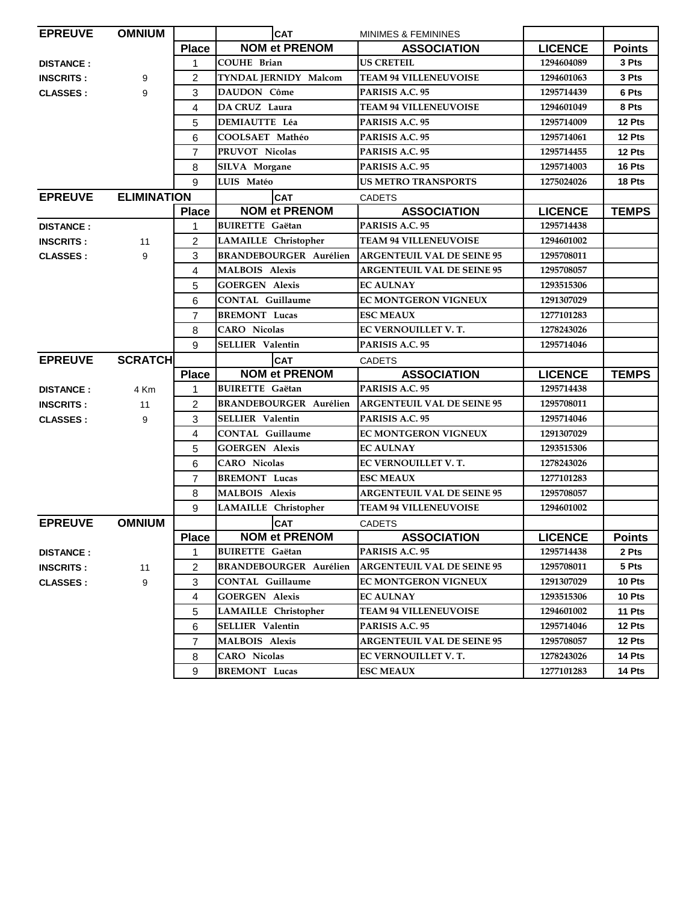| <b>EPREUVE</b>   | <b>OMNIUM</b>      |                | <b>CAT</b>                    | <b>MINIMES &amp; FEMININES</b>    |                |               |
|------------------|--------------------|----------------|-------------------------------|-----------------------------------|----------------|---------------|
|                  |                    | <b>Place</b>   | <b>NOM et PRENOM</b>          | <b>ASSOCIATION</b>                | <b>LICENCE</b> | <b>Points</b> |
| <b>DISTANCE:</b> |                    | 1              | <b>COUHE Brian</b>            | <b>US CRETEIL</b>                 | 1294604089     | 3 Pts         |
| <b>INSCRITS:</b> | 9                  | $\overline{c}$ | TYNDAL JERNIDY Malcom         | <b>TEAM 94 VILLENEUVOISE</b>      | 1294601063     | 3 Pts         |
| <b>CLASSES:</b>  | 9                  | 3              | DAUDON Côme                   | PARISIS A.C. 95                   | 1295714439     | 6 Pts         |
|                  |                    | 4              | DA CRUZ Laura                 | <b>TEAM 94 VILLENEUVOISE</b>      | 1294601049     | 8 Pts         |
|                  |                    | 5              | <b>DEMIAUTTE Léa</b>          | PARISIS A.C. 95                   | 1295714009     | 12 Pts        |
|                  |                    | 6              | COOLSAET Mathéo               | PARISIS A.C. 95                   | 1295714061     | 12 Pts        |
|                  |                    | $\overline{7}$ | PRUVOT Nicolas                | PARISIS A.C. 95                   | 1295714455     | 12 Pts        |
|                  |                    | 8              | <b>SILVA Morgane</b>          | PARISIS A.C. 95                   | 1295714003     | 16 Pts        |
|                  |                    | 9              | LUIS Matéo                    | <b>US METRO TRANSPORTS</b>        | 1275024026     | 18 Pts        |
| <b>EPREUVE</b>   | <b>ELIMINATION</b> |                | <b>CAT</b>                    | <b>CADETS</b>                     |                |               |
|                  |                    | <b>Place</b>   | <b>NOM et PRENOM</b>          | <b>ASSOCIATION</b>                | <b>LICENCE</b> | <b>TEMPS</b>  |
| <b>DISTANCE:</b> |                    | 1              | <b>BUIRETTE Gaëtan</b>        | PARISIS A.C. 95                   | 1295714438     |               |
| <b>INSCRITS:</b> | 11                 | 2              | LAMAILLE Christopher          | <b>TEAM 94 VILLENEUVOISE</b>      | 1294601002     |               |
| <b>CLASSES:</b>  | 9                  | 3              | <b>BRANDEBOURGER Aurélien</b> | <b>ARGENTEUIL VAL DE SEINE 95</b> | 1295708011     |               |
|                  |                    | 4              | <b>MALBOIS Alexis</b>         | <b>ARGENTEUIL VAL DE SEINE 95</b> | 1295708057     |               |
|                  |                    | 5              | <b>GOERGEN Alexis</b>         | <b>EC AULNAY</b>                  | 1293515306     |               |
|                  |                    | 6              | <b>CONTAL Guillaume</b>       | <b>EC MONTGERON VIGNEUX</b>       | 1291307029     |               |
|                  |                    | $\overline{7}$ | <b>BREMONT</b> Lucas          | <b>ESC MEAUX</b>                  | 1277101283     |               |
|                  |                    | 8              | <b>CARO</b> Nicolas           | EC VERNOUILLET V. T.              | 1278243026     |               |
|                  |                    | 9              | <b>SELLIER Valentin</b>       | PARISIS A.C. 95                   | 1295714046     |               |
|                  |                    |                |                               |                                   |                |               |
| <b>EPREUVE</b>   | <b>SCRATCH</b>     |                | <b>CAT</b>                    | <b>CADETS</b>                     |                |               |
|                  |                    | <b>Place</b>   | <b>NOM et PRENOM</b>          | <b>ASSOCIATION</b>                | <b>LICENCE</b> | <b>TEMPS</b>  |
| <b>DISTANCE:</b> | 4 Km               | 1              | <b>BUIRETTE</b> Gaëtan        | PARISIS A.C. 95                   | 1295714438     |               |
| <b>INSCRITS:</b> | 11                 | $\overline{c}$ | <b>BRANDEBOURGER Aurélien</b> | <b>ARGENTEUIL VAL DE SEINE 95</b> | 1295708011     |               |
| <b>CLASSES:</b>  | 9                  | 3              | <b>SELLIER Valentin</b>       | PARISIS A.C. 95                   | 1295714046     |               |
|                  |                    | 4              | <b>CONTAL Guillaume</b>       | EC MONTGERON VIGNEUX              | 1291307029     |               |
|                  |                    | 5              | <b>GOERGEN Alexis</b>         | <b>EC AULNAY</b>                  | 1293515306     |               |
|                  |                    | 6              | <b>CARO</b> Nicolas           | EC VERNOUILLET V.T.               | 1278243026     |               |
|                  |                    | $\overline{7}$ | <b>BREMONT</b> Lucas          | <b>ESC MEAUX</b>                  | 1277101283     |               |
|                  |                    | 8              | <b>MALBOIS Alexis</b>         | <b>ARGENTEUIL VAL DE SEINE 95</b> | 1295708057     |               |
|                  |                    | 9              | LAMAILLE Christopher          | <b>TEAM 94 VILLENEUVOISE</b>      | 1294601002     |               |
| <b>EPREUVE</b>   | <b>OMNIUM</b>      |                | <b>CAT</b>                    | <b>CADETS</b>                     |                |               |
|                  |                    | <b>Place</b>   | <b>NOM et PRENOM</b>          | <b>ASSOCIATION</b>                | <b>LICENCE</b> | <b>Points</b> |
| <b>DISTANCE:</b> |                    | 1              | <b>BUIRETTE Gaëtan</b>        | PARISIS A.C. 95                   | 1295714438     | 2 Pts         |
| <b>INSCRITS:</b> | 11                 | 2              | <b>BRANDEBOURGER Aurélien</b> | <b>ARGENTEUIL VAL DE SEINE 95</b> | 1295708011     | 5 Pts         |
| <b>CLASSES:</b>  | 9                  | 3              | <b>CONTAL Guillaume</b>       | <b>EC MONTGERON VIGNEUX</b>       | 1291307029     | 10 Pts        |
|                  |                    | 4              | <b>GOERGEN Alexis</b>         | <b>EC AULNAY</b>                  | 1293515306     | 10 Pts        |
|                  |                    | 5              | <b>LAMAILLE</b> Christopher   | <b>TEAM 94 VILLENEUVOISE</b>      | 1294601002     | 11 Pts        |
|                  |                    | 6              | <b>SELLIER Valentin</b>       | PARISIS A.C. 95                   | 1295714046     | 12 Pts        |
|                  |                    | $\overline{7}$ | <b>MALBOIS Alexis</b>         | <b>ARGENTEUIL VAL DE SEINE 95</b> | 1295708057     | 12 Pts        |
|                  |                    | 8              | <b>CARO</b> Nicolas           | EC VERNOUILLET V.T.               | 1278243026     | 14 Pts        |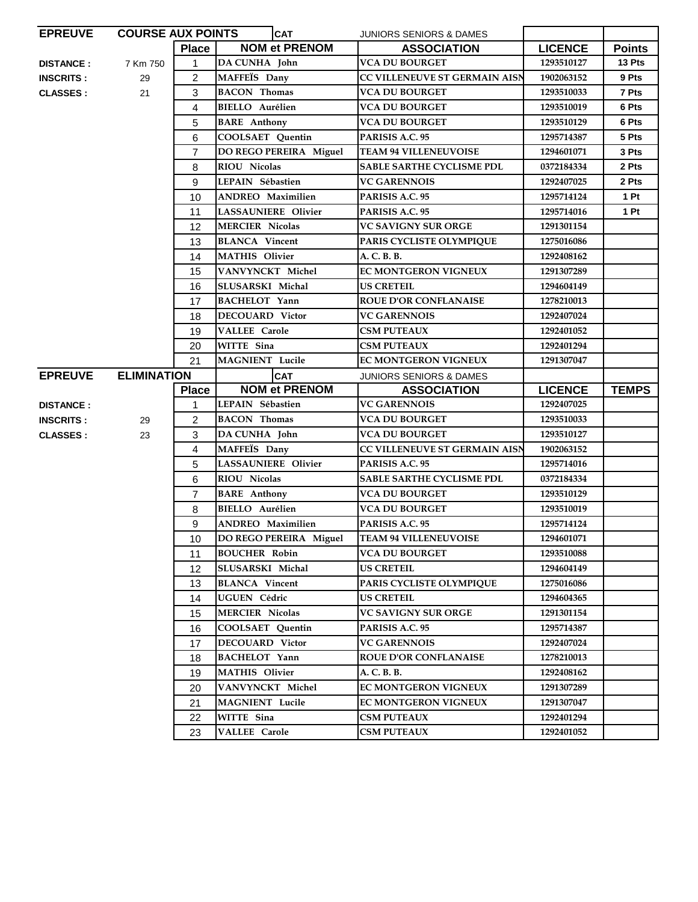| <b>EPREUVE</b><br><b>COURSE AUX POINTS</b> |                    |                | <b>CAT</b>                 | <b>JUNIORS SENIORS &amp; DAMES</b>   |                |                 |
|--------------------------------------------|--------------------|----------------|----------------------------|--------------------------------------|----------------|-----------------|
|                                            |                    | <b>Place</b>   | <b>NOM et PRENOM</b>       | <b>ASSOCIATION</b>                   | <b>LICENCE</b> | <b>Points</b>   |
| <b>DISTANCE:</b>                           | 7 Km 750           | 1              | DA CUNHA John              | <b>VCA DU BOURGET</b>                | 1293510127     | 13 Pts          |
| <b>INSCRITS:</b>                           | 29                 | $\overline{2}$ | MAFFEÏS Dany               | CC VILLENEUVE ST GERMAIN AISN        | 1902063152     | 9 Pts           |
| <b>CLASSES:</b>                            | 21                 | 3              | <b>BACON</b> Thomas        | <b>VCA DU BOURGET</b>                | 1293510033     | 7 Pts           |
|                                            |                    | 4              | <b>BIELLO</b> Aurélien     | <b>VCA DU BOURGET</b>                | 1293510019     | 6 Pts           |
|                                            |                    | 5              | <b>BARE</b> Anthony        | VCA DU BOURGET                       | 1293510129     | 6 Pts           |
|                                            |                    | 6              | <b>COOLSAET</b> Quentin    | PARISIS A.C. 95                      | 1295714387     | 5 Pts           |
|                                            |                    | $\overline{7}$ | DO REGO PEREIRA Miguel     | <b>TEAM 94 VILLENEUVOISE</b>         | 1294601071     | 3 Pts           |
|                                            |                    | 8              | <b>RIOU Nicolas</b>        | <b>SABLE SARTHE CYCLISME PDL</b>     | 0372184334     | 2 Pts           |
|                                            |                    | 9              | LEPAIN Sébastien           | <b>VC GARENNOIS</b>                  | 1292407025     | 2 Pts           |
|                                            |                    | 10             | <b>ANDREO</b> Maximilien   | PARISIS A.C. 95                      | 1295714124     | 1P <sub>t</sub> |
|                                            |                    | 11             | <b>LASSAUNIERE</b> Olivier | PARISIS A.C. 95                      | 1295714016     | 1 Pt            |
|                                            |                    | 12             | <b>MERCIER Nicolas</b>     | <b>VC SAVIGNY SUR ORGE</b>           | 1291301154     |                 |
|                                            |                    | 13             | <b>BLANCA</b> Vincent      | PARIS CYCLISTE OLYMPIQUE             | 1275016086     |                 |
|                                            |                    | 14             | <b>MATHIS Olivier</b>      | A. C. B. B.                          | 1292408162     |                 |
|                                            |                    | 15             | VANVYNCKT Michel           | <b>EC MONTGERON VIGNEUX</b>          | 1291307289     |                 |
|                                            |                    | 16             | SLUSARSKI Michal           | <b>US CRETEIL</b>                    | 1294604149     |                 |
|                                            |                    | 17             | <b>BACHELOT</b> Yann       | <b>ROUE D'OR CONFLANAISE</b>         | 1278210013     |                 |
|                                            |                    | 18             | <b>DECOUARD</b> Victor     | <b>VC GARENNOIS</b>                  | 1292407024     |                 |
|                                            |                    | 19             | <b>VALLEE Carole</b>       | <b>CSM PUTEAUX</b>                   | 1292401052     |                 |
|                                            |                    | 20             | WITTE Sina                 | <b>CSM PUTEAUX</b>                   | 1292401294     |                 |
|                                            |                    | 21             | MAGNIENT Lucile            | EC MONTGERON VIGNEUX                 | 1291307047     |                 |
| <b>EPREUVE</b>                             | <b>ELIMINATION</b> |                | <b>CAT</b>                 | <b>JUNIORS SENIORS &amp; DAMES</b>   |                |                 |
|                                            |                    |                |                            |                                      |                |                 |
|                                            |                    | <b>Place</b>   | <b>NOM et PRENOM</b>       | <b>ASSOCIATION</b>                   | <b>LICENCE</b> | <b>TEMPS</b>    |
| <b>DISTANCE:</b>                           |                    | 1              | LEPAIN Sébastien           | <b>VC GARENNOIS</b>                  | 1292407025     |                 |
| <b>INSCRITS:</b>                           | 29                 | 2              | <b>BACON Thomas</b>        | VCA DU BOURGET                       | 1293510033     |                 |
| <b>CLASSES:</b>                            | 23                 | 3              | DA CUNHA John              | <b>VCA DU BOURGET</b>                | 1293510127     |                 |
|                                            |                    | 4              | MAFFEÏS Dany               | <b>CC VILLENEUVE ST GERMAIN AISN</b> | 1902063152     |                 |
|                                            |                    | 5              | <b>LASSAUNIERE</b> Olivier | PARISIS A.C. 95                      | 1295714016     |                 |
|                                            |                    | 6              | <b>RIOU Nicolas</b>        | SABLE SARTHE CYCLISME PDL            | 0372184334     |                 |
|                                            |                    | $\overline{7}$ | <b>BARE</b> Anthony        | <b>VCA DU BOURGET</b>                | 1293510129     |                 |
|                                            |                    | 8              | <b>BIELLO</b> Aurélien     | VCA DU BOURGET                       | 1293510019     |                 |
|                                            |                    | 9              | <b>ANDREO</b> Maximilien   | PARISIS A.C. 95                      | 1295714124     |                 |
|                                            |                    | 10             | DO REGO PEREIRA Miguel     | <b>TEAM 94 VILLENEUVOISE</b>         | 1294601071     |                 |
|                                            |                    | 11             | <b>BOUCHER Robin</b>       | <b>VCA DU BOURGET</b>                | 1293510088     |                 |
|                                            |                    | 12             | SLUSARSKI Michal           | <b>US CRETEIL</b>                    | 1294604149     |                 |
|                                            |                    | 13             | <b>BLANCA</b> Vincent      | PARIS CYCLISTE OLYMPIQUE             | 1275016086     |                 |
|                                            |                    | 14             | <b>UGUEN Cédric</b>        | <b>US CRETEIL</b>                    | 1294604365     |                 |
|                                            |                    | 15             | <b>MERCIER Nicolas</b>     | VC SAVIGNY SUR ORGE                  | 1291301154     |                 |
|                                            |                    | 16             | COOLSAET Quentin           | PARISIS A.C. 95                      | 1295714387     |                 |
|                                            |                    | 17             | <b>DECOUARD Victor</b>     | <b>VC GARENNOIS</b>                  | 1292407024     |                 |
|                                            |                    | 18             | <b>BACHELOT</b> Yann       | <b>ROUE D'OR CONFLANAISE</b>         | 1278210013     |                 |
|                                            |                    | 19             | <b>MATHIS Olivier</b>      | A. C. B. B.                          | 1292408162     |                 |
|                                            |                    | 20             | VANVYNCKT Michel           | EC MONTGERON VIGNEUX                 | 1291307289     |                 |
|                                            |                    | 21             | MAGNIENT Lucile            | <b>EC MONTGERON VIGNEUX</b>          | 1291307047     |                 |
|                                            |                    | 22             | WITTE Sina                 | <b>CSM PUTEAUX</b>                   | 1292401294     |                 |